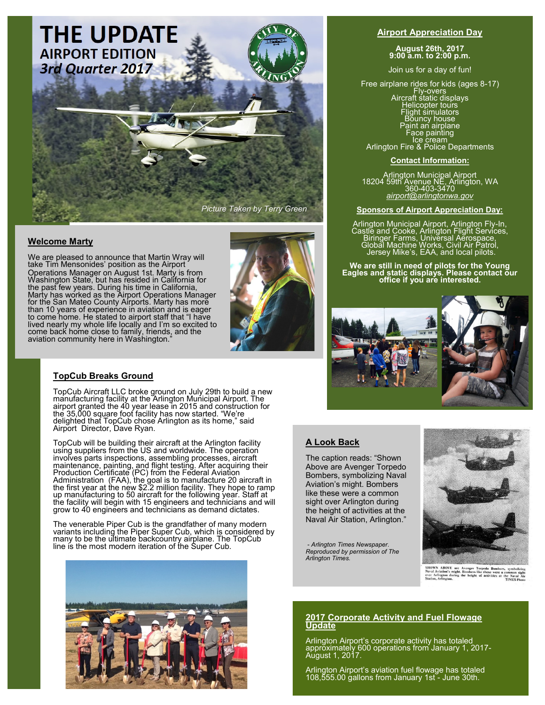

## **Welcome Marty**

We are pleased to announce that Martin Wray will take Tim Mensonides' position as the Airport Operations Manager on August 1st. Marty is from Washington State, but has resided in California for the past few years. During his time in California, Marty has worked as the Airport Operations Manager for the San Mateo County Airports. Marty has more than 10 years of experience in aviation and is eager to come home. He stated to airport staff that "I have lived nearly my whole life locally and I'm so excited to come back home close to family, friends, and the aviation community here in Washington."



## **TopCub Breaks Ground**

TopCub Aircraft LLC broke ground on July 29th to build a new manufacturing facility at the Arlington Municipal Airport. The airport granted the 40 year lease in 2015 and construction for the 35,000 square foot facility has now started. "We're delighted that TopCub chose Arlington as its home," said Airport Director, Dave Ryan.

TopCub will be building their aircraft at the Arlington facility using suppliers from the US and worldwide. The operation involves parts inspections, assembling processes, aircraft maintenance, painting, and flight testing. After acquiring their Production Certificate (PC) from the Federal Aviation Administration (FAA), the goal is to manufacture 20 aircraft in the first year at the new \$2.2 million facility. They hope to ramp up manufacturing to 50 aircraft for the following year. Staff at the facility will begin with 15 engineers and technicians and will grow to 40 engineers and technicians as demand dictates.

The venerable Piper Cub is the grandfather of many modern variants including the Piper Super Cub, which is considered by many to be the ultimate backcountry airplane. The TopCub line is the most modern iteration of the Super Cub.



#### **Airport Appreciation Day**

**August 26th, 2017 9:00 a.m. to 2:00 p.m.**

Join us for a day of fun!

Free airplane rides for kids (ages 8-17) Fly-overs<br>
Aircraft static displays<br>
Helicopter tours<br>
Flight simulators<br>
Bouncy house<br>
Paint an airplane<br>
Face painting<br>
Ce cream<br>
Arlington Fire & Police Departments

**Contact Information:**

Arlington Municipal Airport 18204 59th Avenue NE, Arlington, WA 360-403-3470 *airport@arlingtonwa.gov* 

#### **Sponsors of Airport Appreciation Day:**

Arlington Municipal Airport, Arlington Fly-In, Castle and Cooke, Arlington Flight Services, Biringer Farms, Universal Aerospace, Global Machine Works, Civil Air Patrol, Jersey Mike's, EAA, and local pilots.

# **We are still in need of pilots for the Young Eagles and static displays. Please contact our office if you are interested.**



## **A Look Back**

The caption reads: "Shown Above are Avenger Torpedo Bombers, symbolizing Naval Aviation's might. Bombers like these were a common sight over Arlington during the height of activities at the Naval Air Station, Arlington."

*- Arlington Times Newspaper. Reproduced by permission of The Arlington Times.* 



SHOWN ABOVE are Avenger Torpedo Bombers, symbolizing<br>Naval Aviation's might. Bombers like these were a common sight<br>over Arlington during the height of activities at the Naval Air<br>Station, Arlington.

#### **2017 Corporate Activity and Fuel Flowage Update**

Arlington Airport's corporate activity has totaled approximately 600 operations from January 1, 2017- August 1, 2017.

Arlington Airport's aviation fuel flowage has totaled 108,555.00 gallons from January 1st - June 30th.